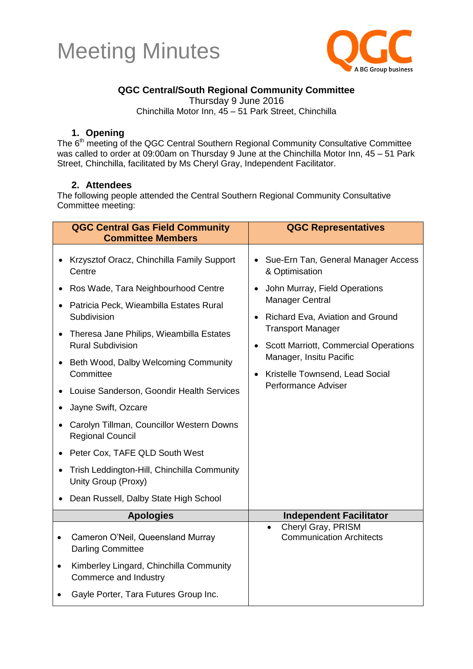



#### **QGC Central/South Regional Community Committee**

Thursday 9 June 2016

Chinchilla Motor Inn, 45 – 51 Park Street, Chinchilla

#### **1. Opening**

The 6<sup>th</sup> meeting of the QGC Central Southern Regional Community Consultative Committee was called to order at 09:00am on Thursday 9 June at the Chinchilla Motor Inn, 45 – 51 Park Street, Chinchilla, facilitated by Ms Cheryl Gray, Independent Facilitator.

#### **2. Attendees**

The following people attended the Central Southern Regional Community Consultative Committee meeting:

| <b>QGC Central Gas Field Community</b><br><b>Committee Members</b>                                                                                                                                                                                                                                                                                                                                                                                                                                                                                                                                                     | <b>QGC Representatives</b>                                                                                                                                                                                                                                                                                                                 |
|------------------------------------------------------------------------------------------------------------------------------------------------------------------------------------------------------------------------------------------------------------------------------------------------------------------------------------------------------------------------------------------------------------------------------------------------------------------------------------------------------------------------------------------------------------------------------------------------------------------------|--------------------------------------------------------------------------------------------------------------------------------------------------------------------------------------------------------------------------------------------------------------------------------------------------------------------------------------------|
| Krzysztof Oracz, Chinchilla Family Support<br>$\bullet$<br>Centre<br>Ros Wade, Tara Neighbourhood Centre<br>Patricia Peck, Wieambilla Estates Rural<br>Subdivision<br>Theresa Jane Philips, Wieambilla Estates<br>$\bullet$<br><b>Rural Subdivision</b><br>Beth Wood, Dalby Welcoming Community<br>Committee<br>Louise Sanderson, Goondir Health Services<br>Jayne Swift, Ozcare<br>Carolyn Tillman, Councillor Western Downs<br><b>Regional Council</b><br>Peter Cox, TAFE QLD South West<br>Trish Leddington-Hill, Chinchilla Community<br>$\bullet$<br>Unity Group (Proxy)<br>Dean Russell, Dalby State High School | Sue-Ern Tan, General Manager Access<br>& Optimisation<br>John Murray, Field Operations<br><b>Manager Central</b><br>Richard Eva, Aviation and Ground<br>$\bullet$<br><b>Transport Manager</b><br>• Scott Marriott, Commercial Operations<br>Manager, Insitu Pacific<br>Kristelle Townsend, Lead Social<br>$\bullet$<br>Performance Adviser |
| <b>Apologies</b>                                                                                                                                                                                                                                                                                                                                                                                                                                                                                                                                                                                                       | <b>Independent Facilitator</b>                                                                                                                                                                                                                                                                                                             |
| Cameron O'Neil, Queensland Murray<br>$\bullet$<br><b>Darling Committee</b><br>Kimberley Lingard, Chinchilla Community<br>$\bullet$<br>Commerce and Industry                                                                                                                                                                                                                                                                                                                                                                                                                                                            | Cheryl Gray, PRISM<br>$\bullet$<br><b>Communication Architects</b>                                                                                                                                                                                                                                                                         |
| Gayle Porter, Tara Futures Group Inc.                                                                                                                                                                                                                                                                                                                                                                                                                                                                                                                                                                                  |                                                                                                                                                                                                                                                                                                                                            |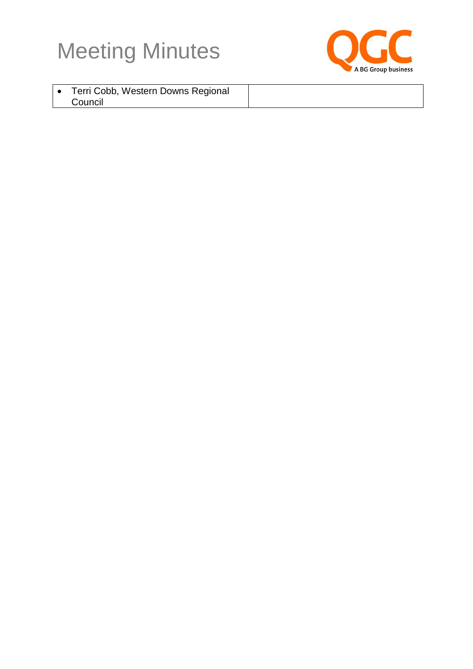



| Terri Cobb, Western Downs Regional |  |
|------------------------------------|--|
| Council                            |  |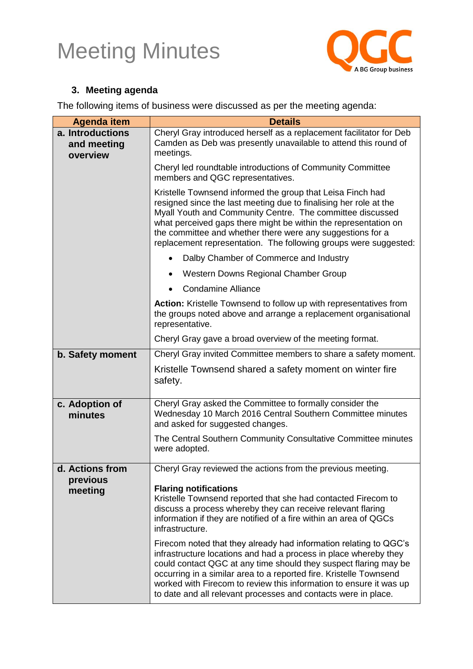

### **3. Meeting agenda**

The following items of business were discussed as per the meeting agenda:

| <b>Agenda item</b>                          | <b>Details</b>                                                                                                                                                                                                                                                                                                                                                                                    |
|---------------------------------------------|---------------------------------------------------------------------------------------------------------------------------------------------------------------------------------------------------------------------------------------------------------------------------------------------------------------------------------------------------------------------------------------------------|
| a. Introductions<br>and meeting<br>overview | Cheryl Gray introduced herself as a replacement facilitator for Deb<br>Camden as Deb was presently unavailable to attend this round of<br>meetings.                                                                                                                                                                                                                                               |
|                                             | Cheryl led roundtable introductions of Community Committee<br>members and QGC representatives.                                                                                                                                                                                                                                                                                                    |
|                                             | Kristelle Townsend informed the group that Leisa Finch had<br>resigned since the last meeting due to finalising her role at the<br>Myall Youth and Community Centre. The committee discussed<br>what perceived gaps there might be within the representation on<br>the committee and whether there were any suggestions for a<br>replacement representation. The following groups were suggested: |
|                                             | Dalby Chamber of Commerce and Industry                                                                                                                                                                                                                                                                                                                                                            |
|                                             | Western Downs Regional Chamber Group<br>$\bullet$                                                                                                                                                                                                                                                                                                                                                 |
|                                             | <b>Condamine Alliance</b>                                                                                                                                                                                                                                                                                                                                                                         |
|                                             | Action: Kristelle Townsend to follow up with representatives from<br>the groups noted above and arrange a replacement organisational<br>representative.                                                                                                                                                                                                                                           |
|                                             | Cheryl Gray gave a broad overview of the meeting format.                                                                                                                                                                                                                                                                                                                                          |
| b. Safety moment                            | Cheryl Gray invited Committee members to share a safety moment.                                                                                                                                                                                                                                                                                                                                   |
|                                             | Kristelle Townsend shared a safety moment on winter fire<br>safety.                                                                                                                                                                                                                                                                                                                               |
| c. Adoption of<br>minutes                   | Cheryl Gray asked the Committee to formally consider the<br>Wednesday 10 March 2016 Central Southern Committee minutes<br>and asked for suggested changes.                                                                                                                                                                                                                                        |
|                                             | The Central Southern Community Consultative Committee minutes<br>were adopted.                                                                                                                                                                                                                                                                                                                    |
| d. Actions from                             | Cheryl Gray reviewed the actions from the previous meeting.                                                                                                                                                                                                                                                                                                                                       |
| previous<br>meeting                         | <b>Flaring notifications</b><br>Kristelle Townsend reported that she had contacted Firecom to<br>discuss a process whereby they can receive relevant flaring<br>information if they are notified of a fire within an area of QGCs<br>infrastructure.<br>Firecom noted that they already had information relating to QGC's<br>infrastructure locations and had a process in place whereby they     |
|                                             | could contact QGC at any time should they suspect flaring may be<br>occurring in a similar area to a reported fire. Kristelle Townsend<br>worked with Firecom to review this information to ensure it was up<br>to date and all relevant processes and contacts were in place.                                                                                                                    |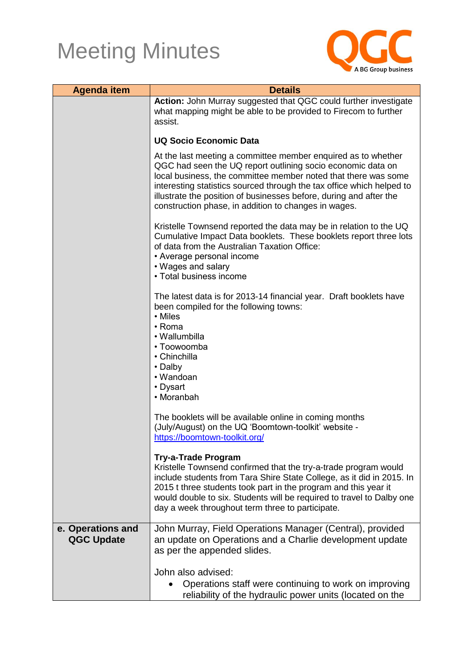

| <b>Agenda item</b>                     | <b>Details</b>                                                                                                                                                                                                                                                                                                                                                                                        |  |
|----------------------------------------|-------------------------------------------------------------------------------------------------------------------------------------------------------------------------------------------------------------------------------------------------------------------------------------------------------------------------------------------------------------------------------------------------------|--|
|                                        | Action: John Murray suggested that QGC could further investigate<br>what mapping might be able to be provided to Firecom to further<br>assist.                                                                                                                                                                                                                                                        |  |
|                                        | <b>UQ Socio Economic Data</b>                                                                                                                                                                                                                                                                                                                                                                         |  |
|                                        | At the last meeting a committee member enquired as to whether<br>QGC had seen the UQ report outlining socio economic data on<br>local business, the committee member noted that there was some<br>interesting statistics sourced through the tax office which helped to<br>illustrate the position of businesses before, during and after the<br>construction phase, in addition to changes in wages. |  |
|                                        | Kristelle Townsend reported the data may be in relation to the UQ<br>Cumulative Impact Data booklets. These booklets report three lots<br>of data from the Australian Taxation Office:<br>• Average personal income<br>• Wages and salary<br>• Total business income                                                                                                                                  |  |
|                                        | The latest data is for 2013-14 financial year. Draft booklets have<br>been compiled for the following towns:<br>• Miles<br>• Roma<br>• Wallumbilla<br>• Toowoomba<br>• Chinchilla<br>• Dalby<br>• Wandoan<br>• Dysart<br>• Moranbah                                                                                                                                                                   |  |
|                                        | The booklets will be available online in coming months<br>(July/August) on the UQ 'Boomtown-toolkit' website -<br>https://boomtown-toolkit.org/                                                                                                                                                                                                                                                       |  |
|                                        | <b>Try-a-Trade Program</b><br>Kristelle Townsend confirmed that the try-a-trade program would<br>include students from Tara Shire State College, as it did in 2015. In<br>2015 t three students took part in the program and this year it<br>would double to six. Students will be required to travel to Dalby one<br>day a week throughout term three to participate.                                |  |
| e. Operations and<br><b>QGC Update</b> | John Murray, Field Operations Manager (Central), provided<br>an update on Operations and a Charlie development update<br>as per the appended slides.                                                                                                                                                                                                                                                  |  |
|                                        | John also advised:<br>Operations staff were continuing to work on improving<br>reliability of the hydraulic power units (located on the                                                                                                                                                                                                                                                               |  |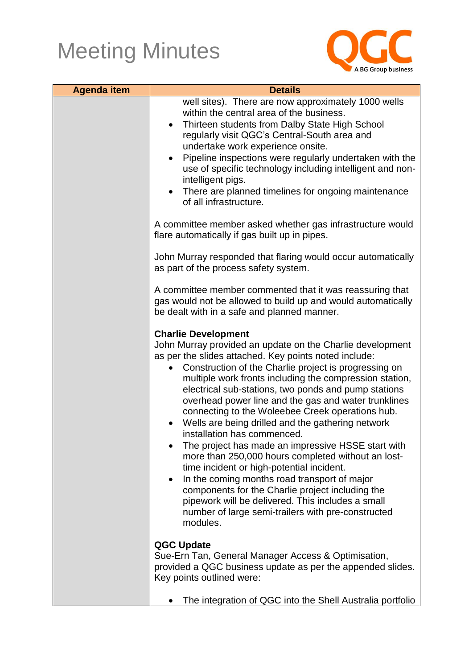

| <b>Agenda item</b> | <b>Details</b>                                                                                                                                                                                                                                                                                                                                                                                                                                                                                                                                                                                                                                                                                                                                                                                                                                                                                                                |
|--------------------|-------------------------------------------------------------------------------------------------------------------------------------------------------------------------------------------------------------------------------------------------------------------------------------------------------------------------------------------------------------------------------------------------------------------------------------------------------------------------------------------------------------------------------------------------------------------------------------------------------------------------------------------------------------------------------------------------------------------------------------------------------------------------------------------------------------------------------------------------------------------------------------------------------------------------------|
|                    | well sites). There are now approximately 1000 wells<br>within the central area of the business.<br>Thirteen students from Dalby State High School<br>$\bullet$<br>regularly visit QGC's Central-South area and<br>undertake work experience onsite.<br>Pipeline inspections were regularly undertaken with the<br>use of specific technology including intelligent and non-<br>intelligent pigs.<br>There are planned timelines for ongoing maintenance<br>of all infrastructure.                                                                                                                                                                                                                                                                                                                                                                                                                                             |
|                    | A committee member asked whether gas infrastructure would<br>flare automatically if gas built up in pipes.                                                                                                                                                                                                                                                                                                                                                                                                                                                                                                                                                                                                                                                                                                                                                                                                                    |
|                    | John Murray responded that flaring would occur automatically<br>as part of the process safety system.                                                                                                                                                                                                                                                                                                                                                                                                                                                                                                                                                                                                                                                                                                                                                                                                                         |
|                    | A committee member commented that it was reassuring that<br>gas would not be allowed to build up and would automatically<br>be dealt with in a safe and planned manner.                                                                                                                                                                                                                                                                                                                                                                                                                                                                                                                                                                                                                                                                                                                                                       |
|                    | <b>Charlie Development</b><br>John Murray provided an update on the Charlie development<br>as per the slides attached. Key points noted include:<br>Construction of the Charlie project is progressing on<br>multiple work fronts including the compression station,<br>electrical sub-stations, two ponds and pump stations<br>overhead power line and the gas and water trunklines<br>connecting to the Woleebee Creek operations hub.<br>Wells are being drilled and the gathering network<br>installation has commenced.<br>The project has made an impressive HSSE start with<br>more than 250,000 hours completed without an lost-<br>time incident or high-potential incident.<br>In the coming months road transport of major<br>$\bullet$<br>components for the Charlie project including the<br>pipework will be delivered. This includes a small<br>number of large semi-trailers with pre-constructed<br>modules. |
|                    | <b>QGC Update</b><br>Sue-Ern Tan, General Manager Access & Optimisation,<br>provided a QGC business update as per the appended slides.<br>Key points outlined were:                                                                                                                                                                                                                                                                                                                                                                                                                                                                                                                                                                                                                                                                                                                                                           |
|                    | The integration of QGC into the Shell Australia portfolio                                                                                                                                                                                                                                                                                                                                                                                                                                                                                                                                                                                                                                                                                                                                                                                                                                                                     |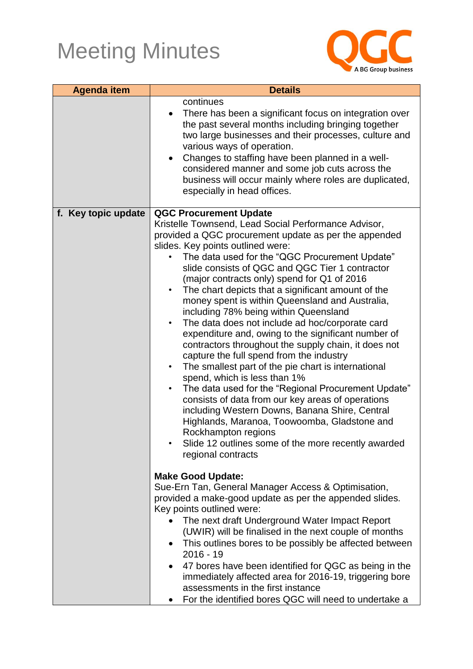

| <b>Agenda item</b>  | <b>Details</b>                                                                                                                                                                                                                                                                                                                                                                                                                                                                                                                                                                                                                                                                                                                                                                                                                                                                                                                                                                                                                                                                                                                                                       |
|---------------------|----------------------------------------------------------------------------------------------------------------------------------------------------------------------------------------------------------------------------------------------------------------------------------------------------------------------------------------------------------------------------------------------------------------------------------------------------------------------------------------------------------------------------------------------------------------------------------------------------------------------------------------------------------------------------------------------------------------------------------------------------------------------------------------------------------------------------------------------------------------------------------------------------------------------------------------------------------------------------------------------------------------------------------------------------------------------------------------------------------------------------------------------------------------------|
|                     | continues<br>There has been a significant focus on integration over<br>$\bullet$<br>the past several months including bringing together<br>two large businesses and their processes, culture and<br>various ways of operation.<br>Changes to staffing have been planned in a well-<br>$\bullet$<br>considered manner and some job cuts across the<br>business will occur mainly where roles are duplicated,<br>especially in head offices.                                                                                                                                                                                                                                                                                                                                                                                                                                                                                                                                                                                                                                                                                                                           |
| f. Key topic update | <b>QGC Procurement Update</b><br>Kristelle Townsend, Lead Social Performance Advisor,<br>provided a QGC procurement update as per the appended<br>slides. Key points outlined were:<br>The data used for the "QGC Procurement Update"<br>slide consists of QGC and QGC Tier 1 contractor<br>(major contracts only) spend for Q1 of 2016<br>The chart depicts that a significant amount of the<br>$\bullet$<br>money spent is within Queensland and Australia,<br>including 78% being within Queensland<br>The data does not include ad hoc/corporate card<br>$\bullet$<br>expenditure and, owing to the significant number of<br>contractors throughout the supply chain, it does not<br>capture the full spend from the industry<br>The smallest part of the pie chart is international<br>$\bullet$<br>spend, which is less than 1%<br>The data used for the "Regional Procurement Update"<br>$\bullet$<br>consists of data from our key areas of operations<br>including Western Downs, Banana Shire, Central<br>Highlands, Maranoa, Toowoomba, Gladstone and<br>Rockhampton regions<br>Slide 12 outlines some of the more recently awarded<br>regional contracts |
|                     | <b>Make Good Update:</b><br>Sue-Ern Tan, General Manager Access & Optimisation,<br>provided a make-good update as per the appended slides.<br>Key points outlined were:<br>The next draft Underground Water Impact Report<br>(UWIR) will be finalised in the next couple of months<br>This outlines bores to be possibly be affected between<br>$2016 - 19$<br>47 bores have been identified for QGC as being in the<br>$\bullet$<br>immediately affected area for 2016-19, triggering bore<br>assessments in the first instance<br>For the identified bores QGC will need to undertake a                                                                                                                                                                                                                                                                                                                                                                                                                                                                                                                                                                            |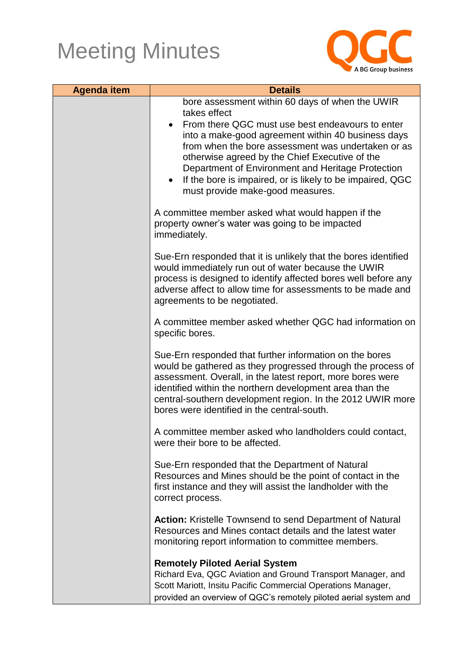

| <b>Agenda item</b> | <b>Details</b>                                                                                                                                                                                                                                                                                                                                                                                                                                       |
|--------------------|------------------------------------------------------------------------------------------------------------------------------------------------------------------------------------------------------------------------------------------------------------------------------------------------------------------------------------------------------------------------------------------------------------------------------------------------------|
|                    | bore assessment within 60 days of when the UWIR<br>takes effect<br>From there QGC must use best endeavours to enter<br>$\bullet$<br>into a make-good agreement within 40 business days<br>from when the bore assessment was undertaken or as<br>otherwise agreed by the Chief Executive of the<br>Department of Environment and Heritage Protection<br>If the bore is impaired, or is likely to be impaired, QGC<br>must provide make-good measures. |
|                    | A committee member asked what would happen if the<br>property owner's water was going to be impacted<br>immediately.                                                                                                                                                                                                                                                                                                                                 |
|                    | Sue-Ern responded that it is unlikely that the bores identified<br>would immediately run out of water because the UWIR<br>process is designed to identify affected bores well before any<br>adverse affect to allow time for assessments to be made and<br>agreements to be negotiated.                                                                                                                                                              |
|                    | A committee member asked whether QGC had information on<br>specific bores.                                                                                                                                                                                                                                                                                                                                                                           |
|                    | Sue-Ern responded that further information on the bores<br>would be gathered as they progressed through the process of<br>assessment. Overall, in the latest report, more bores were<br>identified within the northern development area than the<br>central-southern development region. In the 2012 UWIR more<br>bores were identified in the central-south.                                                                                        |
|                    | A committee member asked who landholders could contact,<br>were their bore to be affected.                                                                                                                                                                                                                                                                                                                                                           |
|                    | Sue-Ern responded that the Department of Natural<br>Resources and Mines should be the point of contact in the<br>first instance and they will assist the landholder with the<br>correct process.                                                                                                                                                                                                                                                     |
|                    | <b>Action:</b> Kristelle Townsend to send Department of Natural<br>Resources and Mines contact details and the latest water<br>monitoring report information to committee members.                                                                                                                                                                                                                                                                   |
|                    | <b>Remotely Piloted Aerial System</b><br>Richard Eva, QGC Aviation and Ground Transport Manager, and<br>Scott Mariott, Insitu Pacific Commercial Operations Manager,<br>provided an overview of QGC's remotely piloted aerial system and                                                                                                                                                                                                             |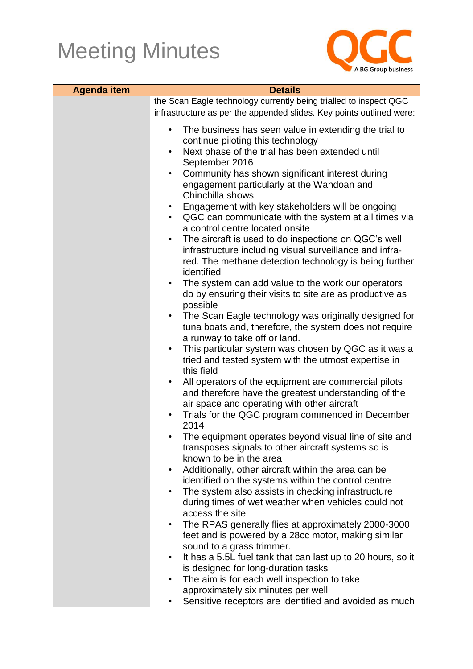

| <b>Agenda item</b> | <b>Details</b>                                                                                                 |  |
|--------------------|----------------------------------------------------------------------------------------------------------------|--|
|                    | the Scan Eagle technology currently being trialled to inspect QGC                                              |  |
|                    | infrastructure as per the appended slides. Key points outlined were:                                           |  |
|                    | The business has seen value in extending the trial to<br>$\bullet$<br>continue piloting this technology        |  |
|                    | Next phase of the trial has been extended until<br>$\bullet$                                                   |  |
|                    | September 2016                                                                                                 |  |
|                    | Community has shown significant interest during<br>$\bullet$<br>engagement particularly at the Wandoan and     |  |
|                    | Chinchilla shows                                                                                               |  |
|                    | Engagement with key stakeholders will be ongoing                                                               |  |
|                    | QGC can communicate with the system at all times via<br>$\bullet$<br>a control centre located onsite           |  |
|                    | The aircraft is used to do inspections on QGC's well<br>$\bullet$                                              |  |
|                    | infrastructure including visual surveillance and infra-                                                        |  |
|                    | red. The methane detection technology is being further<br>identified                                           |  |
|                    | The system can add value to the work our operators                                                             |  |
|                    | do by ensuring their visits to site are as productive as<br>possible                                           |  |
|                    | The Scan Eagle technology was originally designed for<br>$\bullet$                                             |  |
|                    | tuna boats and, therefore, the system does not require                                                         |  |
|                    | a runway to take off or land.                                                                                  |  |
|                    | This particular system was chosen by QGC as it was a<br>$\bullet$                                              |  |
|                    | tried and tested system with the utmost expertise in<br>this field                                             |  |
|                    | All operators of the equipment are commercial pilots<br>$\bullet$                                              |  |
|                    | and therefore have the greatest understanding of the                                                           |  |
|                    | air space and operating with other aircraft                                                                    |  |
|                    | Trials for the QGC program commenced in December<br>2014                                                       |  |
|                    | The equipment operates beyond visual line of site and                                                          |  |
|                    | transposes signals to other aircraft systems so is                                                             |  |
|                    | known to be in the area                                                                                        |  |
|                    | Additionally, other aircraft within the area can be                                                            |  |
|                    | identified on the systems within the control centre<br>The system also assists in checking infrastructure<br>٠ |  |
|                    | during times of wet weather when vehicles could not                                                            |  |
|                    | access the site                                                                                                |  |
|                    | The RPAS generally flies at approximately 2000-3000<br>$\bullet$                                               |  |
|                    | feet and is powered by a 28cc motor, making similar                                                            |  |
|                    | sound to a grass trimmer.                                                                                      |  |
|                    | It has a 5.5L fuel tank that can last up to 20 hours, so it<br>$\bullet$                                       |  |
|                    | is designed for long-duration tasks                                                                            |  |
|                    | The aim is for each well inspection to take                                                                    |  |
|                    | approximately six minutes per well                                                                             |  |
|                    | Sensitive receptors are identified and avoided as much                                                         |  |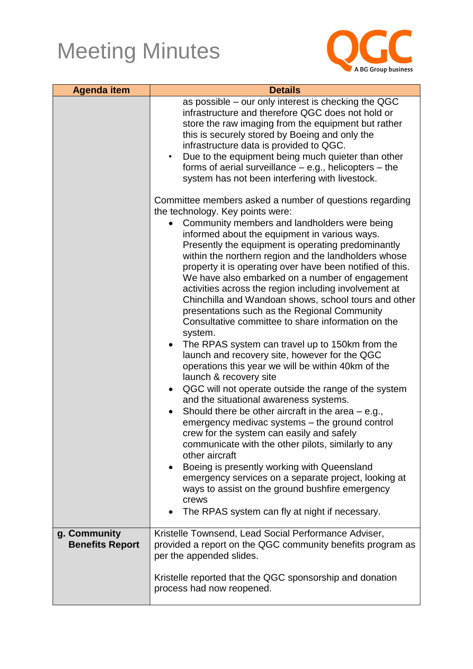

| <b>Agenda item</b>                     | <b>Details</b>                                                                                                                                                                                                                                                                                                                                                                                                                                                                                                                                                                                                                                                                                                                                                                                                                                                                                                                                                                                                                                                                                                                                                                                                                                                                                                                                                         |
|----------------------------------------|------------------------------------------------------------------------------------------------------------------------------------------------------------------------------------------------------------------------------------------------------------------------------------------------------------------------------------------------------------------------------------------------------------------------------------------------------------------------------------------------------------------------------------------------------------------------------------------------------------------------------------------------------------------------------------------------------------------------------------------------------------------------------------------------------------------------------------------------------------------------------------------------------------------------------------------------------------------------------------------------------------------------------------------------------------------------------------------------------------------------------------------------------------------------------------------------------------------------------------------------------------------------------------------------------------------------------------------------------------------------|
|                                        | as possible – our only interest is checking the QGC<br>infrastructure and therefore QGC does not hold or<br>store the raw imaging from the equipment but rather<br>this is securely stored by Boeing and only the<br>infrastructure data is provided to QGC.<br>Due to the equipment being much quieter than other<br>$\bullet$<br>forms of aerial surveillance $-$ e.g., helicopters $-$ the<br>system has not been interfering with livestock.                                                                                                                                                                                                                                                                                                                                                                                                                                                                                                                                                                                                                                                                                                                                                                                                                                                                                                                       |
|                                        | Committee members asked a number of questions regarding                                                                                                                                                                                                                                                                                                                                                                                                                                                                                                                                                                                                                                                                                                                                                                                                                                                                                                                                                                                                                                                                                                                                                                                                                                                                                                                |
|                                        | the technology. Key points were:<br>Community members and landholders were being<br>informed about the equipment in various ways.<br>Presently the equipment is operating predominantly<br>within the northern region and the landholders whose<br>property it is operating over have been notified of this.<br>We have also embarked on a number of engagement<br>activities across the region including involvement at<br>Chinchilla and Wandoan shows, school tours and other<br>presentations such as the Regional Community<br>Consultative committee to share information on the<br>system.<br>The RPAS system can travel up to 150km from the<br>launch and recovery site, however for the QGC<br>operations this year we will be within 40km of the<br>launch & recovery site<br>QGC will not operate outside the range of the system<br>$\bullet$<br>and the situational awareness systems.<br>Should there be other aircraft in the area $-$ e.g.,<br>emergency medivac systems – the ground control<br>crew for the system can easily and safely<br>communicate with the other pilots, similarly to any<br>other aircraft<br>Boeing is presently working with Queensland<br>$\bullet$<br>emergency services on a separate project, looking at<br>ways to assist on the ground bushfire emergency<br>crews<br>The RPAS system can fly at night if necessary. |
|                                        |                                                                                                                                                                                                                                                                                                                                                                                                                                                                                                                                                                                                                                                                                                                                                                                                                                                                                                                                                                                                                                                                                                                                                                                                                                                                                                                                                                        |
| g. Community<br><b>Benefits Report</b> | Kristelle Townsend, Lead Social Performance Adviser,<br>provided a report on the QGC community benefits program as<br>per the appended slides.<br>Kristelle reported that the QGC sponsorship and donation                                                                                                                                                                                                                                                                                                                                                                                                                                                                                                                                                                                                                                                                                                                                                                                                                                                                                                                                                                                                                                                                                                                                                             |
|                                        | process had now reopened.                                                                                                                                                                                                                                                                                                                                                                                                                                                                                                                                                                                                                                                                                                                                                                                                                                                                                                                                                                                                                                                                                                                                                                                                                                                                                                                                              |